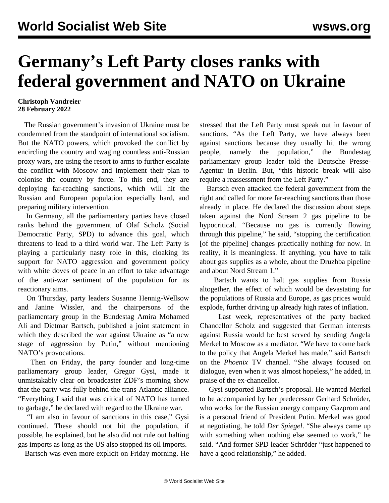## **Germany's Left Party closes ranks with federal government and NATO on Ukraine**

## **Christoph Vandreier 28 February 2022**

 The Russian government's invasion of Ukraine must be condemned from the standpoint of international socialism. But the NATO powers, which provoked the conflict by encircling the country and waging countless anti-Russian proxy wars, are using the resort to arms to further escalate the conflict with Moscow and implement their plan to colonise the country by force. To this end, they are deploying far-reaching sanctions, which will hit the Russian and European population especially hard, and preparing military intervention.

 In Germany, all the parliamentary parties have closed ranks behind the government of Olaf Scholz (Social Democratic Party, SPD) to advance this goal, which threatens to lead to a third world war. The Left Party is playing a particularly nasty role in this, cloaking its support for NATO aggression and government policy with white doves of peace in an effort to take advantage of the anti-war sentiment of the population for its reactionary aims.

 On Thursday, party leaders Susanne Hennig-Wellsow and Janine Wissler, and the chairpersons of the parliamentary group in the Bundestag Amira Mohamed Ali and Dietmar Bartsch, published a joint statement in which they described the war against Ukraine as "a new stage of aggression by Putin," without mentioning NATO's provocations.

 Then on Friday, the party founder and long-time parliamentary group leader, Gregor Gysi, made it unmistakably clear on broadcaster ZDF's morning show that the party was fully behind the trans-Atlantic alliance. "Everything I said that was critical of NATO has turned to garbage," he declared with regard to the Ukraine war.

 "I am also in favour of sanctions in this case," Gysi continued. These should not hit the population, if possible, he explained, but he also did not rule out halting gas imports as long as the US also stopped its oil imports.

Bartsch was even more explicit on Friday morning. He

stressed that the Left Party must speak out in favour of sanctions. "As the Left Party, we have always been against sanctions because they usually hit the wrong people, namely the population," the Bundestag parliamentary group leader told the Deutsche Presse-Agentur in Berlin. But, "this historic break will also require a reassessment from the Left Party."

 Bartsch even attacked the federal government from the right and called for more far-reaching sanctions than those already in place. He declared the discussion about steps taken against the Nord Stream 2 gas pipeline to be hypocritical. "Because no gas is currently flowing through this pipeline," he said, "stopping the certification [of the pipeline] changes practically nothing for now. In reality, it is meaningless. If anything, you have to talk about gas supplies as a whole, about the Druzhba pipeline and about Nord Stream 1."

 Bartsch wants to halt gas supplies from Russia altogether, the effect of which would be devastating for the populations of Russia and Europe, as gas prices would explode, further driving up already high rates of inflation.

 Last week, representatives of the party backed Chancellor Scholz and suggested that German interests against Russia would be best served by sending Angela Merkel to Moscow as a mediator. "We have to come back to the policy that Angela Merkel has made," said Bartsch on the *Phoenix* TV channel. "She always focused on dialogue, even when it was almost hopeless," he added, in praise of the ex-chancellor.

 Gysi supported Bartsch's proposal. He wanted Merkel to be accompanied by her predecessor Gerhard Schröder, who works for the Russian energy company Gazprom and is a personal friend of President Putin. Merkel was good at negotiating, he told *Der Spiegel*. "She always came up with something when nothing else seemed to work," he said. "And former SPD leader Schröder "just happened to have a good relationship," he added.